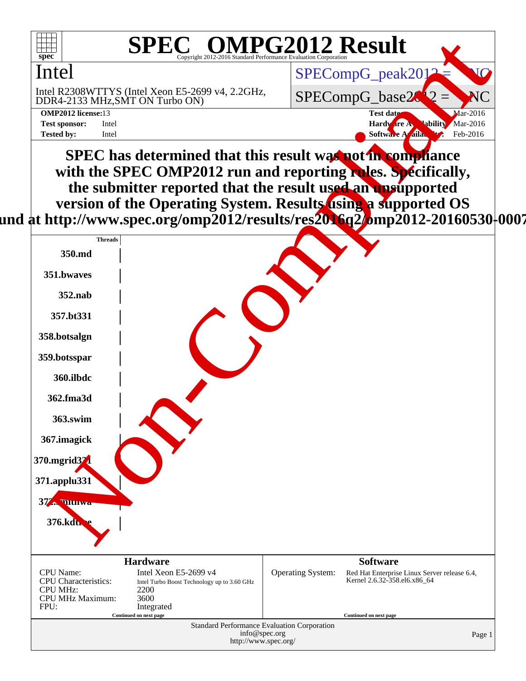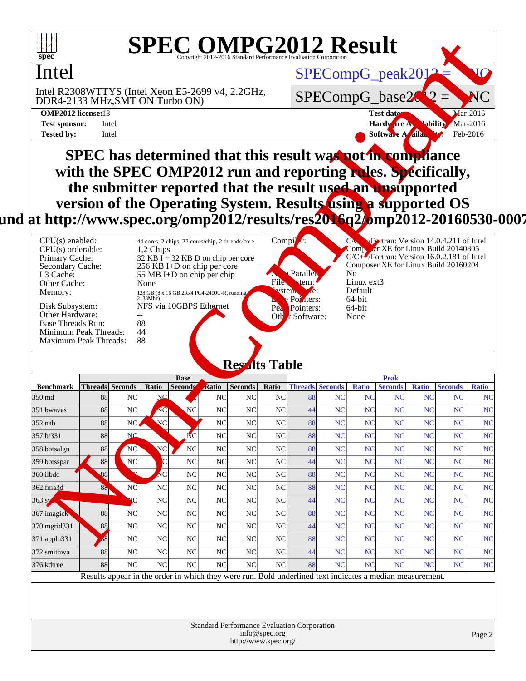

# **SPEC OMPG2012 Result**

### Intel

**SPEC has determined that this result was not in compliance with the SPEC OMP2012 run and reporting rules. Specifically, the submitter reported that the result used an unsupported version of the Operating System. Results using a supported OS** und at http://www.spec.org/omp2012/results/res**2016q2/o**mp2012-20160530<sup>|</sup>0007

| $CPU(s)$ enabled:<br>$CPU(s)$ orderable:<br>Primary Cache:<br>Secondary Cache:<br>L3 Cache:<br>Other Cache:<br>Memory: | 44 cores, 2 chips, 22 cores/chip, 2 threads/core<br>1.2 Chips<br>$32$ KB I + 32 KB D on chip per core<br>256 KB I+D on chip per core<br>55 MB I+D on chip per chip<br>None<br>128 GB (8 x 16 GB 2Rx4 PC4-2400U-R, running a<br>2133Mhz | Compil $r$ :<br>Paralleh<br><b>ABA</b><br><b>File</b><br>$\mathsf{term}$ :<br>vstem<br>$\chi$ e:<br>Pointers: | Fortran: Version 14.0.4.211 of Intel<br>UN.<br>Comp er XE for Linux Build 20140805<br>$C/C+\sqrt{F}$ Fortran: Version 16.0.2.181 of Intel<br>Composer XE for Linux Build 20160204<br>No.<br>Linux ext3<br>Default<br>64-bit |
|------------------------------------------------------------------------------------------------------------------------|----------------------------------------------------------------------------------------------------------------------------------------------------------------------------------------------------------------------------------------|---------------------------------------------------------------------------------------------------------------|-----------------------------------------------------------------------------------------------------------------------------------------------------------------------------------------------------------------------------|
| Disk Subsystem:<br>Other Hardware:<br>Base Threads Run:<br>Minimum Peak Threads:                                       | NFS via 10GBPS Ethernet<br>88<br>44                                                                                                                                                                                                    | Pea<br>Pointers:<br>Other Software:                                                                           | 64-bit<br>None                                                                                                                                                                                                              |
| <b>Maximum Peak Threads:</b>                                                                                           | 88                                                                                                                                                                                                                                     |                                                                                                               |                                                                                                                                                                                                                             |

#### **Results Table**

| spec®                                                                                                                      |                                                                                     |                                                                                                          |                         |                                                                                |                |                      |                                 |                                  | SPECOMPG2012 Result |                       |                                                                                      |                               |                             |                    |
|----------------------------------------------------------------------------------------------------------------------------|-------------------------------------------------------------------------------------|----------------------------------------------------------------------------------------------------------|-------------------------|--------------------------------------------------------------------------------|----------------|----------------------|---------------------------------|----------------------------------|---------------------|-----------------------|--------------------------------------------------------------------------------------|-------------------------------|-----------------------------|--------------------|
| Intel                                                                                                                      |                                                                                     |                                                                                                          |                         |                                                                                |                |                      |                                 |                                  |                     |                       |                                                                                      |                               |                             | IC.                |
|                                                                                                                            |                                                                                     |                                                                                                          |                         |                                                                                |                | SPECompG_peak2012    |                                 |                                  |                     |                       |                                                                                      |                               |                             |                    |
|                                                                                                                            | Intel R2308WTTYS (Intel Xeon E5-2699 v4, 2.2GHz,<br>DDR4-2133 MHz, SMT ON Turbo ON) |                                                                                                          |                         |                                                                                |                |                      | SPECompG_base20<br>$\mathbf{M}$ |                                  |                     |                       |                                                                                      |                               |                             |                    |
| <b>OMP2012 license:13</b>                                                                                                  |                                                                                     |                                                                                                          |                         |                                                                                |                |                      |                                 |                                  |                     |                       | Test date:                                                                           |                               |                             | <b>Mar-2016</b>    |
| <b>Test sponsor:</b>                                                                                                       |                                                                                     | Intel                                                                                                    |                         |                                                                                |                |                      |                                 |                                  |                     |                       | Hardware A.                                                                          |                               | <b>Nar-2016</b>             | Feb-2016           |
| <b>Tested by:</b>                                                                                                          |                                                                                     | Intel                                                                                                    |                         |                                                                                |                |                      |                                 |                                  |                     |                       | <b>Softwa</b>                                                                        | A aila                        |                             |                    |
|                                                                                                                            |                                                                                     |                                                                                                          |                         |                                                                                |                |                      |                                 |                                  |                     |                       |                                                                                      |                               |                             |                    |
| SPEC has determined that this result was not in compliance<br>with the SPEC OMP2012 run and reporting rules. Specifically, |                                                                                     |                                                                                                          |                         |                                                                                |                |                      |                                 |                                  |                     |                       |                                                                                      |                               |                             |                    |
| the submitter reported that the result used an unsupported                                                                 |                                                                                     |                                                                                                          |                         |                                                                                |                |                      |                                 |                                  |                     |                       |                                                                                      |                               |                             |                    |
|                                                                                                                            |                                                                                     |                                                                                                          |                         |                                                                                |                |                      |                                 |                                  |                     |                       |                                                                                      |                               |                             |                    |
|                                                                                                                            |                                                                                     | version of the Operating System. Results using a supported OS                                            |                         |                                                                                |                |                      |                                 |                                  |                     |                       |                                                                                      |                               |                             |                    |
| at http://www.spec.org/omp2012/results/res2 <mark>016</mark> q2/omp2012-20160530 ·0                                        |                                                                                     |                                                                                                          |                         |                                                                                |                |                      |                                 |                                  |                     |                       |                                                                                      |                               |                             |                    |
| $CPU(s)$ enabled:                                                                                                          |                                                                                     |                                                                                                          |                         | 44 cores, 2 chips, 22 cores/chip, 2 threads/core                               |                |                      |                                 | Compil $r$ :                     |                     |                       | Fortran: Version 14.0.4.211 of Intel                                                 |                               |                             |                    |
| $CPU(s)$ orderable:                                                                                                        |                                                                                     |                                                                                                          | 1,2 Chips               |                                                                                |                |                      |                                 |                                  |                     |                       | Comp er XE for Linux Build 20140805                                                  |                               |                             |                    |
| Primary Cache:<br>Secondary Cache:                                                                                         |                                                                                     |                                                                                                          |                         | 32 KB $\overline{I}$ + 32 KB D on chip per core<br>256 KB I+D on chip per core |                |                      |                                 |                                  |                     |                       | $C/C +$ Fortran: Version 16.0.2.181 of Intel<br>Composer XE for Linux Build 20160204 |                               |                             |                    |
| L3 Cache:                                                                                                                  |                                                                                     |                                                                                                          |                         | 55 MB I+D on chip per chip                                                     |                |                      |                                 | Parallen                         |                     | No                    |                                                                                      |                               |                             |                    |
| Other Cache:                                                                                                               |                                                                                     |                                                                                                          | None                    |                                                                                |                |                      | File                            | <b>tem:</b><br>te:<br>vstem      |                     | Linux ext3<br>Default |                                                                                      |                               |                             |                    |
| Memory:                                                                                                                    |                                                                                     |                                                                                                          | 2133Mhz)                | 128 GB (8 x 16 GB 2Rx4 PC4-2400U-R, running a                                  |                |                      | Ь.                              | Pointers:                        |                     | 64-bit                |                                                                                      |                               |                             |                    |
| Disk Subsystem:<br>Other Hardware:                                                                                         |                                                                                     |                                                                                                          |                         | NFS via 10GBPS Ethinnet                                                        |                |                      |                                 | Pea Pointers:<br>Oth r Software: |                     | 64-bit<br>None        |                                                                                      |                               |                             |                    |
| <b>Base Threads Run:</b>                                                                                                   |                                                                                     |                                                                                                          | 88                      |                                                                                |                |                      |                                 |                                  |                     |                       |                                                                                      |                               |                             |                    |
| Minimum Peak Threads:<br><b>Maximum Peak Threads:</b>                                                                      |                                                                                     |                                                                                                          | 44<br>88                |                                                                                |                |                      |                                 |                                  |                     |                       |                                                                                      |                               |                             |                    |
|                                                                                                                            |                                                                                     |                                                                                                          |                         |                                                                                |                |                      |                                 |                                  |                     |                       |                                                                                      |                               |                             |                    |
|                                                                                                                            |                                                                                     |                                                                                                          |                         |                                                                                |                | <b>Residts Table</b> |                                 |                                  |                     |                       |                                                                                      |                               |                             |                    |
|                                                                                                                            |                                                                                     |                                                                                                          |                         | <b>Base</b>                                                                    |                |                      |                                 |                                  |                     |                       | <b>Peak</b>                                                                          |                               |                             |                    |
| <b>Benchmark</b><br>350.md                                                                                                 | 88                                                                                  | Threads Seconds<br>NC                                                                                    | Ratio<br><b>NC</b>      | Seconds                                                                        | Ratio<br>NC    | <b>Seconds</b><br>NC | Ratio<br>NC                     | <b>Threads Seconds</b><br>88     | NC                  | <b>Ratio</b><br>NC    | <b>Seconds</b><br><b>NC</b>                                                          | <b>Ratio</b><br><sub>NC</sub> | <b>Seconds</b><br><b>NC</b> | <b>Ratio</b><br>NC |
| 351.bwaves                                                                                                                 | 88                                                                                  | NC                                                                                                       | AC                      | N <sub>C</sub>                                                                 | NC             | NC                   | NC                              | 44                               | NC                  | NC                    | <b>NC</b>                                                                            | N <sub>C</sub>                | NC                          | N <sub>C</sub>     |
| $352$ .nab                                                                                                                 | $88\,$                                                                              | ${\rm NC}$                                                                                               | <b>NC</b>               |                                                                                | <b>NC</b>      | NC                   | <b>NC</b>                       | 88                               | <b>NC</b>           | N <sub>C</sub>        | <b>NC</b>                                                                            | <b>NC</b>                     | N <sub>C</sub>              | N <sub>C</sub>     |
| 357.bt331                                                                                                                  | 88                                                                                  | <b>NC</b>                                                                                                | $\blacktriangle$<br>N   | $\overline{\text{NC}}$                                                         | N <sub>C</sub> | NC                   | <b>NC</b>                       | 88                               | <b>NC</b>           | <b>NC</b>             | <b>NC</b>                                                                            | <b>NC</b>                     | <b>NC</b>                   | NC                 |
| 358.botsalgn                                                                                                               | 88                                                                                  | <b>NC</b>                                                                                                | NC                      | N <sub>C</sub>                                                                 | NC             | NC                   | N <sub>C</sub>                  | 88                               | <b>NC</b>           | <b>NC</b>             | <b>NC</b>                                                                            | <b>NC</b>                     | <b>NC</b>                   | NC                 |
| 359.botsspar                                                                                                               | $88\,$                                                                              | <b>NC</b>                                                                                                | $\overline{\mathsf{C}}$ | N <sub>C</sub>                                                                 | NC             | <b>NC</b>            | N <sub>C</sub>                  | 44                               | <b>NC</b>           | <b>NC</b>             | <b>NC</b>                                                                            | <b>NC</b>                     | <b>NC</b>                   | NC                 |
| 360.ilbdc                                                                                                                  | 88                                                                                  |                                                                                                          | <b>AC</b>               | <b>NC</b>                                                                      | NC             | NC                   | <b>NC</b>                       | 88                               | <b>NC</b>           | <b>NC</b>             | <b>NC</b>                                                                            | <b>NC</b>                     | <b>NC</b>                   | NC                 |
| 362.fma3d                                                                                                                  | 88                                                                                  | N <sub>C</sub>                                                                                           | <b>NC</b>               | N <sub>C</sub>                                                                 | NC             | <b>NC</b>            | <b>NC</b>                       | 88                               | <b>NC</b>           | <b>NC</b>             | <b>NC</b>                                                                            | <b>NC</b>                     | <b>NC</b>                   | NC                 |
| 363.s                                                                                                                      |                                                                                     | NC                                                                                                       | <b>NC</b>               | N <sub>C</sub>                                                                 | NC             | NC                   | N <sub>C</sub>                  | 44                               | <b>NC</b>           | <b>NC</b>             | <b>NC</b>                                                                            | <b>NC</b>                     | <b>NC</b>                   | NC                 |
| 367.imagick                                                                                                                | $88\,$                                                                              | NC                                                                                                       | NC                      | N <sub>C</sub>                                                                 | NC             | NC                   | N <sub>C</sub>                  | 88                               | <b>NC</b>           | <b>NC</b>             | <b>NC</b>                                                                            | <b>NC</b>                     | <b>NC</b>                   | NC                 |
| 370.mgrid331                                                                                                               | 88                                                                                  | N <sub>C</sub>                                                                                           | <b>NC</b>               | N <sub>C</sub>                                                                 | NC             | <b>NC</b>            | N <sub>C</sub>                  | 44                               | <b>NC</b>           | <b>NC</b>             | <b>NC</b>                                                                            | <b>NC</b>                     | <b>NC</b>                   | NC                 |
| 371.applu331                                                                                                               | $\mathcal{S}_{\mathcal{S}}$                                                         | <b>NC</b>                                                                                                | <b>NC</b>               | N <sub>C</sub>                                                                 | NC             | <b>NC</b>            | <b>NC</b>                       | 88                               | <b>NC</b>           | <b>NC</b>             | <b>NC</b>                                                                            | <b>NC</b>                     | <b>NC</b>                   | NC                 |
| 372.smithwa                                                                                                                | 88                                                                                  | N <sub>C</sub>                                                                                           | N <sub>C</sub>          | NC                                                                             | N <sub>C</sub> | NC                   | N <sub>C</sub>                  | 44                               | <b>NC</b>           | <b>NC</b>             | <b>NC</b>                                                                            | <b>NC</b>                     | <b>NC</b>                   | NC                 |
| 376.kdtree                                                                                                                 | 88                                                                                  | <b>NC</b>                                                                                                | N <sub>C</sub>          | NC                                                                             | N <sub>C</sub> | NC                   | <b>NC</b>                       | 88                               | <b>NC</b>           | <b>NC</b>             | NC                                                                                   | <b>NC</b>                     | <b>NC</b>                   | <b>NC</b>          |
|                                                                                                                            |                                                                                     | Results appear in the order in which they were run. Bold underlined text indicates a median measurement. |                         |                                                                                |                |                      |                                 |                                  |                     |                       |                                                                                      |                               |                             |                    |

Standard Performance Evaluation Corporation [info@spec.org](mailto:info@spec.org) <http://www.spec.org/>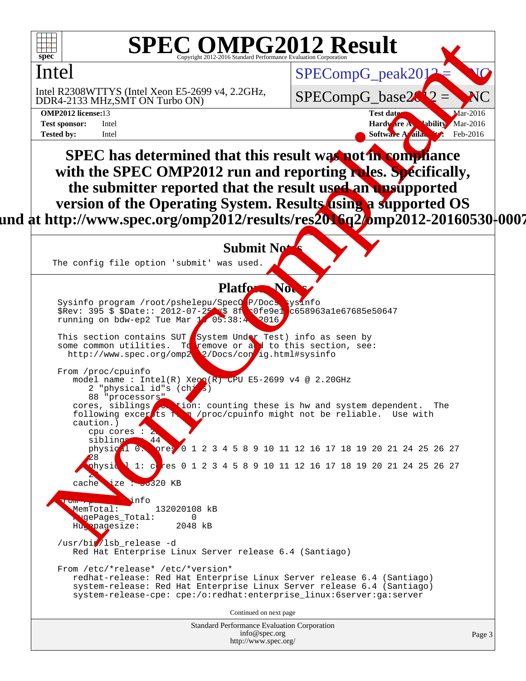

#### **SPEC OMPG2012 Result** Copyright 2012-2016 Standard Performance Evaluation

### Intel

DDR4-2133 MHz,SMT ON Turbo ON) Intel R2308WTTYS (Intel Xeon E5-2699 v4, 2.2GHz,

SPECompG\_base2

SPECompG\_peak2012

**[OMP2012 license:](http://www.spec.org/auto/omp2012/Docs/result-fields.html#OMP2012license)13 Test date:** Mar-2016 **[Test sponsor:](http://www.spec.org/auto/omp2012/Docs/result-fields.html#Testsponsor)** Intel **Hardware Availability** Mar-2016 **[Tested by:](http://www.spec.org/auto/omp2012/Docs/result-fields.html#Testedby)** Intel **[Software Availability:](http://www.spec.org/auto/omp2012/Docs/result-fields.html#SoftwareAvailability)** Feb-2016

SPEC OMPG2012 Result<br>
SPEC OMPG2012 Result<br>
SPEC [om](http://www.spec.org/auto/omp2012/Docs/result-fields.html#PlatformNotes)pG\_pe[a](http://www.spec.org/auto/omp2012/Docs/result-fields.html#Testdate)k2012<br>
OR 4.13 Mills SHT (No Tubo ON) +1.20 Clic.<br>
SPEC mpG\_base20<br>
SPEC has determined that this result was not mompdance<br>
with the SPEC OMP2012 run and reporting **SPEC has determined that this result was not in compliance with the SPEC OMP2012 run and reporting rules. Specifically, the submitter reported that the result used an unsupported version of the Operating System. Results using a supported OS** und at http://www.spec.org/omp2012/results/res**2016q2/o**mp2012-20160530<sup>|</sup>0007

#### **Submit No**

The config file option 'submit' was used.

#### Platform No.

Sysinfo program /root/pshelepu/SpecOMP/Docs/sysinfo \$Rev: 395 \$ \$Date:: 2012-07-25  $\%$  8f  $\sqrt{0}$ fe9e1 c658963a1e67685e50647 running on bdw-ep2 Tue Mar 15 05:38:45 2016

This section contains SUT System Under Test) info as seen by some common utilities. To remove or add to this section, see: http://www.spec.org/omp2012/Docs/contig.html#sysinfo

 From /proc/cpuinfo model name : Intel(R) Xeon(R) CPU E5-2699 v4 @ 2.20GHz 2 "physical id"s  $(\text{chi}_s)$ 88 "processors"<br>cores, siblings tion: counting these is hw and system dependent. The

following excerpts  $f(x) = \frac{1}{x} \int_{-\infty}^{\infty} f(x) \, dx$  /proc/cpuinfo might not be reliable. Use with caution.)  $cpu$  cores  $:$ siblings 44

physic<sup>21</sup> 0: pres 0 1 2 3 4 5 8 9 10 11 12 16 17 18 19 20 21 24 25 26 27 physical 1: c<mark>o</mark>res 0 1 2 3 4 5 8 9 10 11 12 16 17 18 19 20 21 24 25 26 27

**From Property**<br>MemTotal: 132020108 kB vgePages\_Total: 0 Hugepagesize: 2048 kB

cache ize : 56320 KB

28

28

/usr/bir/lsb\_release -d Red Hat Enterprise Linux Server release 6.4 (Santiago)

 From /etc/\*release\* /etc/\*version\* redhat-release: Red Hat Enterprise Linux Server release 6.4 (Santiago) system-release: Red Hat Enterprise Linux Server release 6.4 (Santiago) system-release-cpe: cpe:/o:redhat:enterprise\_linux:6server:ga:server

Continued on next page

| <b>Standard Performance Evaluation Corporation</b> |
|----------------------------------------------------|
| info@spec.org                                      |
| http://www.spec.org/                               |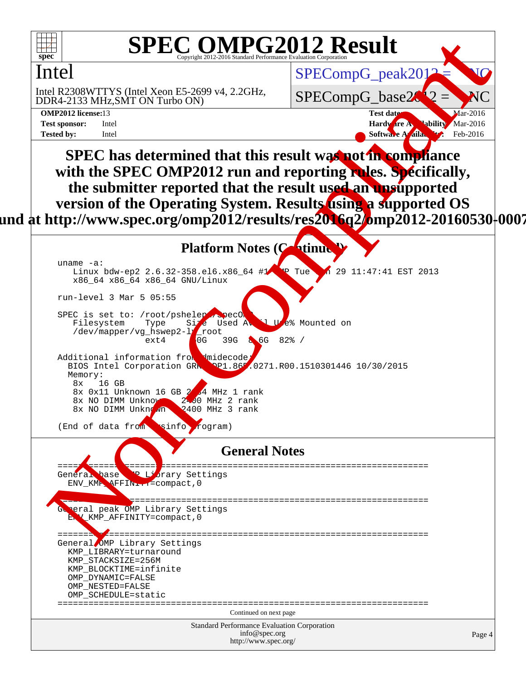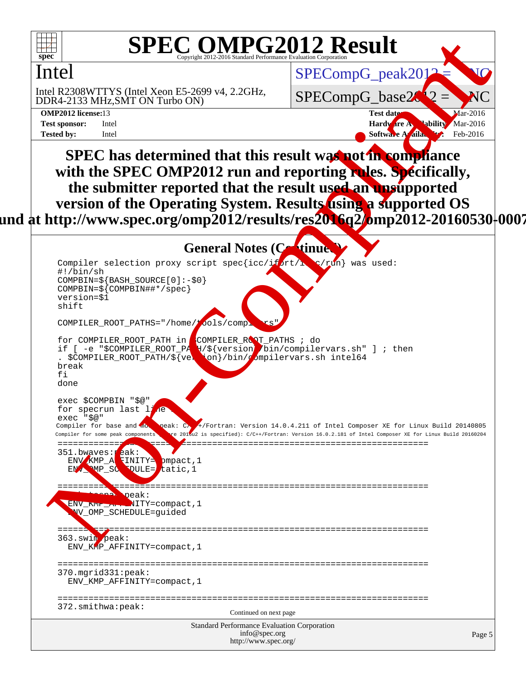

#### **SPEC OMPG2012 Result** Copyright 2012

### Intel

DDR4-2133 MHz,SMT ON Turbo ON) Intel R2308WTTYS (Intel Xeon E5-2699 v4, 2.2GHz,

SPECompG\_base2

SPECompG\_peak2012

**[OMP2012 license:](http://www.spec.org/auto/omp2012/Docs/result-fields.html#OMP2012license)13 Test date:** Mar-2016 **[Test sponsor:](http://www.spec.org/auto/omp2012/Docs/result-fields.html#Testsponsor)** Intel **Hardware Availability** Mar-2016 **[Tested by:](http://www.spec.org/auto/omp2012/Docs/result-fields.html#Testedby)** Intel **[Software Availability:](http://www.spec.org/auto/omp2012/Docs/result-fields.html#SoftwareAvailability)** Feb-2016

**SPEC has determined that this result was not in compliance with the SPEC OMP2012 run and reporting rules. Specifically, the submitter reported that the result used an unsupported version of the Operating System. Results using a supported OS** und at http://www.spec.org/omp2012/results/res**2016q2/o**mp2012-20160530<sup>|</sup>0007



Standard Performance Evaluation Corporation [info@spec.org](mailto:info@spec.org) <http://www.spec.org/>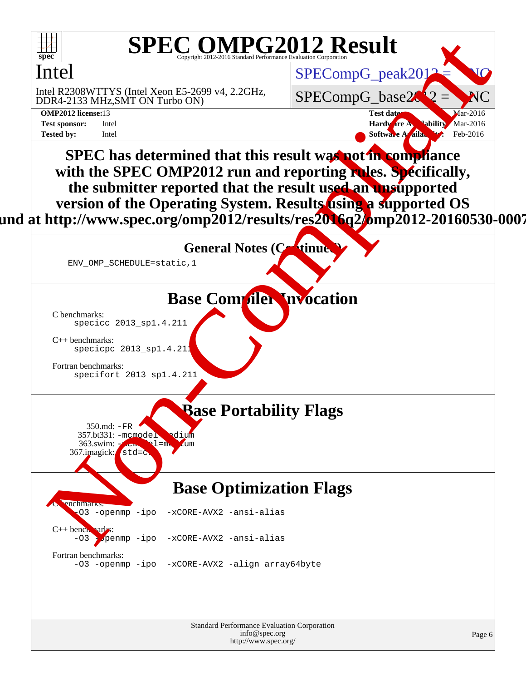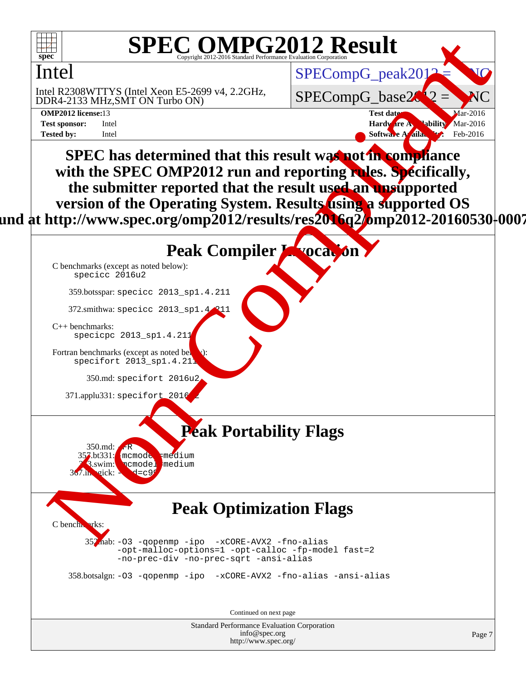

#### **SPEC OMPG2012 Result** Copyright 2012-2016 Standard Performance Evaluation Corporation

### Intel

DDR4-2133 MHz,SMT ON Turbo ON) Intel R2308WTTYS (Intel Xeon E5-2699 v4, 2.2GHz,

SPECompG\_base2

 $SPECompG_ppeak2012$ 

**[OMP2012 license:](http://www.spec.org/auto/omp2012/Docs/result-fields.html#OMP2012license)13 Test date:** Mar-2016 **[Test sponsor:](http://www.spec.org/auto/omp2012/Docs/result-fields.html#Testsponsor)** Intel **Hardware Availability** Mar-2016 **[Tested by:](http://www.spec.org/auto/omp2012/Docs/result-fields.html#Testedby)** Intel **[Software Availability:](http://www.spec.org/auto/omp2012/Docs/result-fields.html#SoftwareAvailability)** Feb-2016

 $\begin{array}{|c|c|c|c|c|}\n\hline & \textbf{SPEC OMPG2012 Result}\\ \hline & \textbf{SPEC OMPG2012 Result}\\ \hline & \textbf{SPECOmpG\_peak2012} & \textbf{SPECOmpG\_peak2012} & \textbf{SPECOmpG\_peak2012} & \textbf{NGC}\\ \hline & \textbf{SPECOmpG\_base20} & \textbf{SPECOmpG\_base20} & \textbf{NGC}\\ \hline & \textbf{SPEC} & \textbf{SPEC} & \textbf{SPECOmpG\_base20} & \textbf{NGC}\\ \hline & \textbf{SPEC} & \textbf{SME} &$  $\begin{array}{|c|c|c|c|c|}\n\hline & \textbf{SPEC OMPG2012 Result}\\ \hline & \textbf{SPEC OMPG2012 Result}\\ \hline & \textbf{SPECOmpG\_peak2012} & \textbf{SPECOmpG\_peak2012} & \textbf{SPECOmpG\_peak2012} & \textbf{NGC}\\ \hline & \textbf{SPECOmpG\_base20} & \textbf{SPECOmpG\_base20} & \textbf{NGC}\\ \hline & \textbf{SPEC} & \textbf{SPEC} & \textbf{SPECOmpG\_base20} & \textbf{NGC}\\ \hline & \textbf{SPEC} & \textbf{SME} &$  $\begin{array}{|c|c|c|c|c|}\n\hline & \textbf{SPEC OMPG2012 Result}\\ \hline & \textbf{SPEC OMPG2012 Result}\\ \hline & \textbf{SPECOmpG\_peak2012} & \textbf{SPECOmpG\_peak2012} & \textbf{SPECOmpG\_peak2012} & \textbf{NGC}\\ \hline & \textbf{SPECOmpG\_base20} & \textbf{SPECOmpG\_base20} & \textbf{NGC}\\ \hline & \textbf{SPEC} & \textbf{SPEC} & \textbf{SPECOmpG\_base20} & \textbf{NGC}\\ \hline & \textbf{SPEC} & \textbf{SME} &$  $\begin{array}{|c|c|c|c|c|}\n\hline & \textbf{SPEC OMPG2012 Result}\\ \hline & \textbf{SPEC OMPG2012 Result}\\ \hline & \textbf{SPECOmpG\_peak2012} & \textbf{SPECOmpG\_peak2012} & \textbf{SPECOmpG\_peak2012} & \textbf{NGC}\\ \hline & \textbf{SPECOmpG\_base20} & \textbf{SPECOmpG\_base20} & \textbf{NGC}\\ \hline & \textbf{SPEC} & \textbf{SPEC} & \textbf{SPECOmpG\_base20} & \textbf{NGC}\\ \hline & \textbf{SPEC} & \textbf{SME} &$  $\begin{array}{|c|c|c|c|c|}\n\hline & \textbf{SPEC OMPG2012 Result}\\ \hline & \textbf{SPEC OMPG2012 Result}\\ \hline & \textbf{SPECOmpG\_peak2012} & \textbf{SPECOmpG\_peak2012} & \textbf{SPECOmpG\_peak2012} & \textbf{NGC}\\ \hline & \textbf{SPECOmpG\_base20} & \textbf{SPECOmpG\_base20} & \textbf{NGC}\\ \hline & \textbf{SPEC} & \textbf{SPEC} & \textbf{SPECOmpG\_base20} & \textbf{NGC}\\ \hline & \textbf{SPEC} & \textbf{SME} &$  $\begin{array}{|c|c|c|c|c|}\n\hline & \textbf{SPEC OMPG2012 Result}\\ \hline & \textbf{SPEC OMPG2012 Result}\\ \hline & \textbf{SPECOmpG\_peak2012} & \textbf{SPECOmpG\_peak2012} & \textbf{SPECOmpG\_peak2012} & \textbf{NGC}\\ \hline & \textbf{SPECOmpG\_base20} & \textbf{SPECOmpG\_base20} & \textbf{NGC}\\ \hline & \textbf{SPEC} & \textbf{SPEC} & \textbf{SPECOmpG\_base20} & \textbf{NGC}\\ \hline & \textbf{SPEC} & \textbf{SME} &$  $\begin{array}{|c|c|c|c|c|}\n\hline & \textbf{SPEC OMPG2012 Result}\\ \hline & \textbf{SPEC OMPG2012 Result}\\ \hline & \textbf{SPECOmpG\_peak2012} & \textbf{SPECOmpG\_peak2012} & \textbf{SPECOmpG\_peak2012} & \textbf{NGC}\\ \hline & \textbf{SPECOmpG\_base20} & \textbf{SPECOmpG\_base20} & \textbf{NGC}\\ \hline & \textbf{SPEC} & \textbf{SPEC} & \textbf{SPECOmpG\_base20} & \textbf{NGC}\\ \hline & \textbf{SPEC} & \textbf{SME} &$ **SPEC has determined that this result was not in compliance** with the SPEC OMP2012 run and reporting rules. Specifically, **the submitter reported that the result used an unsupported version of the Operating System. Results using a supported OS** und at http://www.spec.org/omp2012/results/res**2016q2/o**mp2012-20160530<sup>|</sup>0007

## Peak Compiler **Invocation**

[C benchmarks \(except as noted below\)](http://www.spec.org/auto/omp2012/Docs/result-fields.html#Cbenchmarksexceptasnotedbelow): [specicc 2016u2](http://www.spec.org/omp2012/results/res2016q1/omp2012-20160316-00070.flags.html#user_CCpeak_spec_intel_icc_5c7029f0eb8827b339e12b7e44a2a07d)

359.botsspar: specicc 2013\_sp1.4.211

372.smithwa: specicc 2013  $sp1.4$ 

[C++ benchmarks:](http://www.spec.org/auto/omp2012/Docs/result-fields.html#CXXbenchmarks) [specicpc 2013\\_sp1.4.211](http://www.spec.org/omp2012/results/res2016q1/omp2012-20160316-00070.flags.html#user_CXXpeak_spec_intel_icpc_88c032a0e5d2dc8ec4fb942f2db7966d)

Fortran benchmarks (except as noted bel  $spectfort$   $2013$  $spl.4.21$ 

350.md: specifort 2016u2

371.applu331: specifort 2016

357.bt331: mcmode = medium 3.swim: ncmodel medium

 $350$ .md:  $\cdot$ 

 $367 \text{.}$ inagick:

[C benchmarks](http://www.spec.org/auto/omp2012/Docs/result-fields.html#Cbenchmarks):

**Peak Portability Flags**

### **Peak Optimization Flags**

 352.nab: -O3 -qopenmp -ipo [-xCORE-AVX2](http://www.spec.org/omp2012/results/res2016q1/omp2012-20160316-00070.flags.html#user_peakOPTIMIZE352_nab_f-xCORE-AVX2) -fno-alias [-opt-malloc-options=1](http://www.spec.org/omp2012/results/res2016q1/omp2012-20160316-00070.flags.html#user_peakOPTIMIZE352_nab_f-opt-malloc-options_d882ffc6ff87e51efe45f9a5190004b0) [-opt-calloc](http://www.spec.org/omp2012/results/res2016q1/omp2012-20160316-00070.flags.html#user_peakOPTIMIZE352_nab_f-opt-calloc) [-fp-model fast=2](http://www.spec.org/omp2012/results/res2016q1/omp2012-20160316-00070.flags.html#user_peakOPTIMIZE352_nab_f-fp-model_a7fb8ccb7275e23f0079632c153cfcab) [-no-prec-div](http://www.spec.org/omp2012/results/res2016q1/omp2012-20160316-00070.flags.html#user_peakOPTIMIZE352_nab_f-no-prec-div) [-no-prec-sqrt](http://www.spec.org/omp2012/results/res2016q1/omp2012-20160316-00070.flags.html#user_peakOPTIMIZE352_nab_f-no-prec-sqrt) [-ansi-alias](http://www.spec.org/omp2012/results/res2016q1/omp2012-20160316-00070.flags.html#user_peakCOPTIMIZE352_nab_f-ansi-alias)

358.botsalgn: [-O3](http://www.spec.org/omp2012/results/res2016q1/omp2012-20160316-00070.flags.html#user_peakOPTIMIZE358_botsalgn_f-O3) [-qopenmp](http://www.spec.org/omp2012/results/res2016q1/omp2012-20160316-00070.flags.html#user_peakOPTIMIZE358_botsalgn_f-qopenmp) [-ipo](http://www.spec.org/omp2012/results/res2016q1/omp2012-20160316-00070.flags.html#user_peakOPTIMIZE358_botsalgn_f-ipo_84062ab53814f613187d02344b8f49a7) [-xCORE-AVX2](http://www.spec.org/omp2012/results/res2016q1/omp2012-20160316-00070.flags.html#user_peakOPTIMIZE358_botsalgn_f-xCORE-AVX2) [-fno-alias](http://www.spec.org/omp2012/results/res2016q1/omp2012-20160316-00070.flags.html#user_peakOPTIMIZE358_botsalgn_f-no-alias_694e77f6c5a51e658e82ccff53a9e63a) [-ansi-alias](http://www.spec.org/omp2012/results/res2016q1/omp2012-20160316-00070.flags.html#user_peakCOPTIMIZE358_botsalgn_f-ansi-alias)

Continued on next page

Standard Performance Evaluation Corporation [info@spec.org](mailto:info@spec.org) <http://www.spec.org/>

Page 7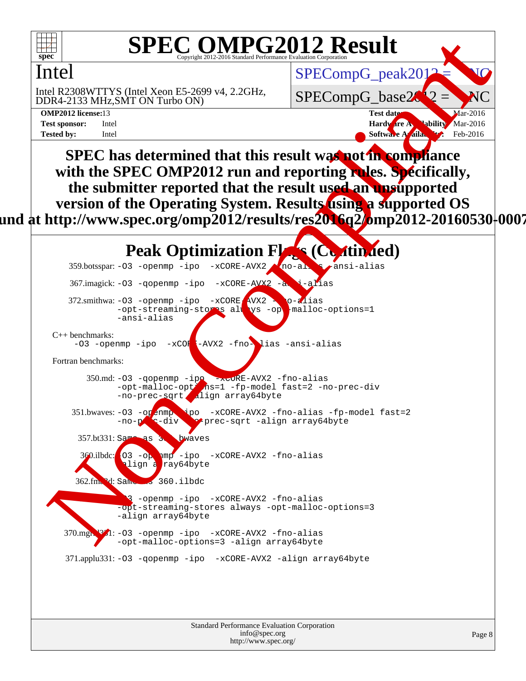

#### **SPEC OMPG2012 Result** Copyright 2012

### Intel

DDR4-2133 MHz,SMT ON Turbo ON) Intel R2308WTTYS (Intel Xeon E5-2699 v4, 2.2GHz,

SPECompG\_base2

 $SPECompG_peak2012$ 

**[OMP2012 license:](http://www.spec.org/auto/omp2012/Docs/result-fields.html#OMP2012license)13 Test date:** Mar-2016 **[Test sponsor:](http://www.spec.org/auto/omp2012/Docs/result-fields.html#Testsponsor)** Intel **Hardware Availability** Mar-2016 **[Tested by:](http://www.spec.org/auto/omp2012/Docs/result-fields.html#Testedby)** Intel **[Software Availability:](http://www.spec.org/auto/omp2012/Docs/result-fields.html#SoftwareAvailability)** Feb-2016

**SPEC has determined that this result was not in compliance** with the SPEC OMP2012 run and reporting rules. Specifically, **the submitter reported that the result used an unsupported version of the Operating System. Results using a supported OS** und at http://www.spec.org/omp2012/results/res**2016**q2**/o**mp2012-20160530<del>|</del>0007